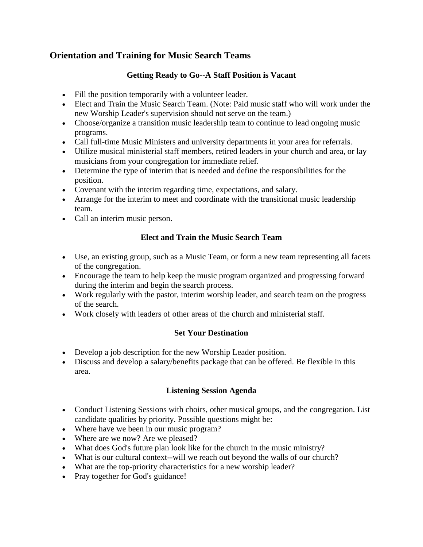# **Orientation and Training for Music Search Teams**

#### **Getting Ready to Go--A Staff Position is Vacant**

- Fill the position temporarily with a volunteer leader.
- Elect and Train the Music Search Team. (Note: Paid music staff who will work under the new Worship Leader's supervision should not serve on the team.)
- Choose/organize a transition music leadership team to continue to lead ongoing music programs.
- Call full-time Music Ministers and university departments in your area for referrals.
- Utilize musical ministerial staff members, retired leaders in your church and area, or lay musicians from your congregation for immediate relief.
- Determine the type of interim that is needed and define the responsibilities for the position.
- Covenant with the interim regarding time, expectations, and salary.
- Arrange for the interim to meet and coordinate with the transitional music leadership team.
- Call an interim music person.

#### **Elect and Train the Music Search Team**

- Use, an existing group, such as a Music Team, or form a new team representing all facets of the congregation.
- Encourage the team to help keep the music program organized and progressing forward during the interim and begin the search process.
- Work regularly with the pastor, interim worship leader, and search team on the progress of the search.
- Work closely with leaders of other areas of the church and ministerial staff.

#### **Set Your Destination**

- Develop a job description for the new Worship Leader position.
- Discuss and develop a salary/benefits package that can be offered. Be flexible in this area.

#### **Listening Session Agenda**

- Conduct Listening Sessions with choirs, other musical groups, and the congregation. List candidate qualities by priority. Possible questions might be:
- Where have we been in our music program?
- Where are we now? Are we pleased?
- What does God's future plan look like for the church in the music ministry?
- What is our cultural context--will we reach out beyond the walls of our church?
- What are the top-priority characteristics for a new worship leader?
- Pray together for God's guidance!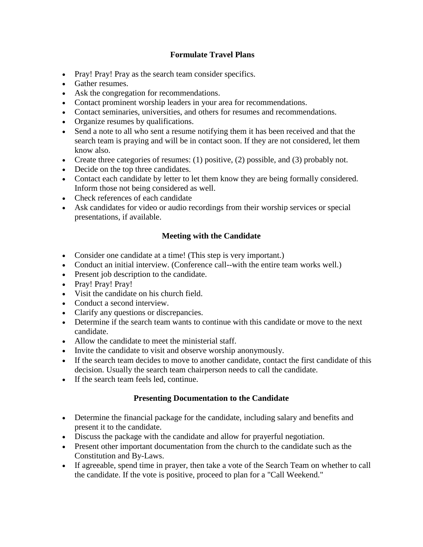#### **Formulate Travel Plans**

- Pray! Pray! Pray as the search team consider specifics.
- Gather resumes.
- Ask the congregation for recommendations.
- Contact prominent worship leaders in your area for recommendations.
- Contact seminaries, universities, and others for resumes and recommendations.
- Organize resumes by qualifications.
- Send a note to all who sent a resume notifying them it has been received and that the search team is praying and will be in contact soon. If they are not considered, let them know also.
- Create three categories of resumes: (1) positive, (2) possible, and (3) probably not.
- Decide on the top three candidates.
- Contact each candidate by letter to let them know they are being formally considered. Inform those not being considered as well.
- Check references of each candidate
- Ask candidates for video or audio recordings from their worship services or special presentations, if available.

## **Meeting with the Candidate**

- Consider one candidate at a time! (This step is very important.)
- Conduct an initial interview. (Conference call--with the entire team works well.)
- Present job description to the candidate.
- Pray! Pray! Pray!
- Visit the candidate on his church field.
- Conduct a second interview.
- Clarify any questions or discrepancies.
- Determine if the search team wants to continue with this candidate or move to the next candidate.
- Allow the candidate to meet the ministerial staff.
- Invite the candidate to visit and observe worship anonymously.
- If the search team decides to move to another candidate, contact the first candidate of this decision. Usually the search team chairperson needs to call the candidate.
- If the search team feels led, continue.

## **Presenting Documentation to the Candidate**

- Determine the financial package for the candidate, including salary and benefits and present it to the candidate.
- Discuss the package with the candidate and allow for prayerful negotiation.
- Present other important documentation from the church to the candidate such as the Constitution and By-Laws.
- If agreeable, spend time in prayer, then take a vote of the Search Team on whether to call the candidate. If the vote is positive, proceed to plan for a "Call Weekend."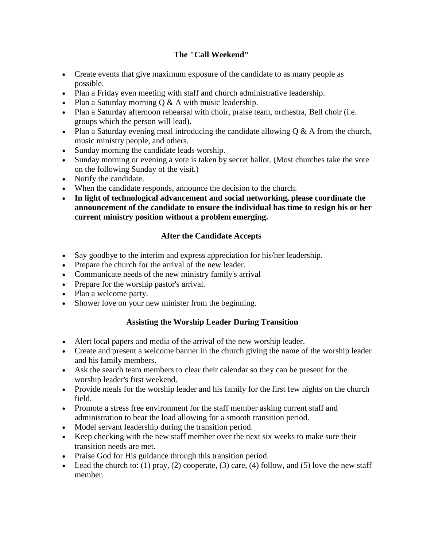#### **The "Call Weekend"**

- Create events that give maximum exposure of the candidate to as many people as possible.
- Plan a Friday even meeting with staff and church administrative leadership.
- Plan a Saturday morning  $Q & A$  with music leadership.
- Plan a Saturday afternoon rehearsal with choir, praise team, orchestra, Bell choir (i.e. groups which the person will lead).
- Plan a Saturday evening meal introducing the candidate allowing  $Q < A$  from the church, music ministry people, and others.
- Sunday morning the candidate leads worship.
- Sunday morning or evening a vote is taken by secret ballot. (Most churches take the vote on the following Sunday of the visit.)
- Notify the candidate.
- When the candidate responds, announce the decision to the church.
- **In light of technological advancement and social networking, please coordinate the announcement of the candidate to ensure the individual has time to resign his or her current ministry position without a problem emerging.**

## **After the Candidate Accepts**

- Say goodbye to the interim and express appreciation for his/her leadership.
- Prepare the church for the arrival of the new leader.
- Communicate needs of the new ministry family's arrival
- Prepare for the worship pastor's arrival.
- Plan a welcome party.
- Shower love on your new minister from the beginning.

## **Assisting the Worship Leader During Transition**

- Alert local papers and media of the arrival of the new worship leader.
- Create and present a welcome banner in the church giving the name of the worship leader and his family members.
- Ask the search team members to clear their calendar so they can be present for the worship leader's first weekend.
- Provide meals for the worship leader and his family for the first few nights on the church field.
- Promote a stress free environment for the staff member asking current staff and administration to bear the load allowing for a smooth transition period.
- Model servant leadership during the transition period.
- Keep checking with the new staff member over the next six weeks to make sure their transition needs are met.
- Praise God for His guidance through this transition period.
- Lead the church to: (1) pray, (2) cooperate, (3) care, (4) follow, and (5) love the new staff member.